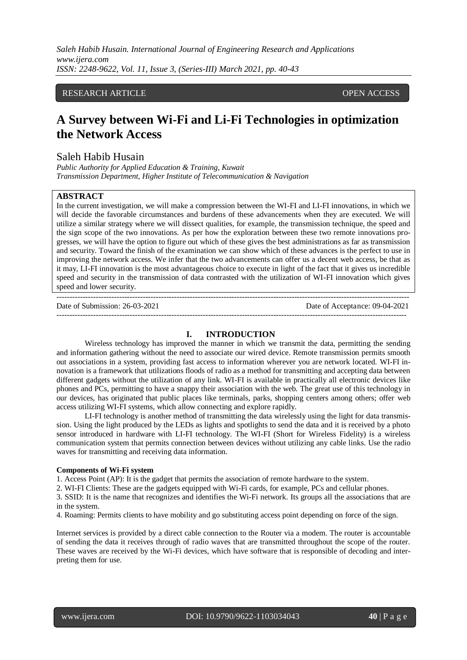## RESEARCH ARTICLE **CONSERVERS** OPEN ACCESS

# **A Survey between Wi-Fi and Li-Fi Technologies in optimization the Network Access**

# Saleh Habib Husain

*Public Authority for Applied Education & Training, Kuwait Transmission Department, Higher Institute of Telecommunication & Navigation* 

#### **ABSTRACT**

In the current investigation, we will make a compression between the WI-FI and LI-FI innovations, in which we will decide the favorable circumstances and burdens of these advancements when they are executed. We will utilize a similar strategy where we will dissect qualities, for example, the transmission technique, the speed and the sign scope of the two innovations. As per how the exploration between these two remote innovations progresses, we will have the option to figure out which of these gives the best administrations as far as transmission and security. Toward the finish of the examination we can show which of these advances is the perfect to use in improving the network access. We infer that the two advancements can offer us a decent web access, be that as it may, LI-FI innovation is the most advantageous choice to execute in light of the fact that it gives us incredible speed and security in the transmission of data contrasted with the utilization of WI-FI innovation which gives speed and lower security.

--------------------------------------------------------------------------------------------------------------------------------------- Date of Submission: 26-03-2021 Date of Acceptance: 09-04-2021 --------------------------------------------------------------------------------------------------------------------------------------

#### **I. INTRODUCTION**

Wireless technology has improved the manner in which we transmit the data, permitting the sending and information gathering without the need to associate our wired device. Remote transmission permits smooth out associations in a system, providing fast access to information wherever you are network located. WI-FI innovation is a framework that utilizations floods of radio as a method for transmitting and accepting data between different gadgets without the utilization of any link. WI-FI is available in practically all electronic devices like phones and PCs, permitting to have a snappy their association with the web. The great use of this technology in our devices, has originated that public places like terminals, parks, shopping centers among others; offer web access utilizing WI-FI systems, which allow connecting and explore rapidly.

LI-FI technology is another method of transmitting the data wirelessly using the light for data transmission. Using the light produced by the LEDs as lights and spotlights to send the data and it is received by a photo sensor introduced in hardware with LI-FI technology. The WI-FI (Short for Wireless Fidelity) is a wireless communication system that permits connection between devices without utilizing any cable links. Use the radio waves for transmitting and receiving data information.

#### **Components of Wi-Fi system**

1. Access Point (AP): It is the gadget that permits the association of remote hardware to the system.

2. WI-FI Clients: These are the gadgets equipped with Wi-Fi cards, for example, PCs and cellular phones.

3. SSID: It is the name that recognizes and identifies the Wi-Fi network. Its groups all the associations that are in the system.

4. Roaming: Permits clients to have mobility and go substituting access point depending on force of the sign.

Internet services is provided by a direct cable connection to the Router via a modem. The router is accountable of sending the data it receives through of radio waves that are transmitted throughout the scope of the router. These waves are received by the Wi-Fi devices, which have software that is responsible of decoding and interpreting them for use.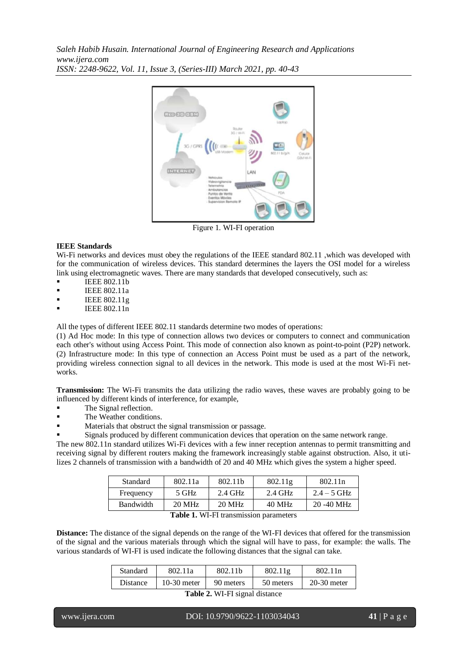

Figure 1. WI-FI operation

#### **IEEE Standards**

Wi-Fi networks and devices must obey the regulations of the IEEE standard 802.11 , which was developed with for the communication of wireless devices. This standard determines the layers the OSI model for a wireless link using electromagnetic waves. There are many standards that developed consecutively, such as:

- IEEE 802.11b
- IEEE 802.11a
- $IEEE 802.11g$
- IEEE 802.11n

All the types of different IEEE 802.11 standards determine two modes of operations:

(1) Ad Hoc mode: In this type of connection allows two devices or computers to connect and communication each other's without using Access Point. This mode of connection also known as point-to-point (P2P) network. (2) Infrastructure mode: In this type of connection an Access Point must be used as a part of the network, providing wireless connection signal to all devices in the network. This mode is used at the most Wi-Fi networks.

**Transmission:** The Wi-Fi transmits the data utilizing the radio waves, these waves are probably going to be influenced by different kinds of interference, for example,

- The Signal reflection.
- The Weather conditions.
- Materials that obstruct the signal transmission or passage.
- Signals produced by different communication devices that operation on the same network range.

The new 802.11n standard utilizes Wi-Fi devices with a few inner reception antennas to permit transmitting and receiving signal by different routers making the framework increasingly stable against obstruction. Also, it utilizes 2 channels of transmission with a bandwidth of 20 and 40 MHz which gives the system a higher speed.

| Standard         | 802.11a | 802.11b   | 802.11g   | 802.11 <sub>n</sub> |
|------------------|---------|-----------|-----------|---------------------|
| Frequency        | 5 GHz   | $2.4$ GHz | $2.4$ GHz | $2.4 - 5$ GHz       |
| <b>Bandwidth</b> | 20 MHz  | 20 MHz    | 40 MHz    | $20 - 40$ MHz       |

**Table 1.** WI-FI transmission parameters

**Distance:** The distance of the signal depends on the range of the WI-FI devices that offered for the transmission of the signal and the various materials through which the signal will have to pass, for example: the walls. The various standards of WI-FI is used indicate the following distances that the signal can take.

| Standard                                         | 802.11a       | 802.11b   | 802.11g   | 802.11n       |  |  |
|--------------------------------------------------|---------------|-----------|-----------|---------------|--|--|
| <b>Distance</b>                                  | $10-30$ meter | 90 meters | 50 meters | $20-30$ meter |  |  |
| $T_{\rm e}$ kla $\Lambda$ , WILELaisual distance |               |           |           |               |  |  |

**Table 2.** WI-FI signal distance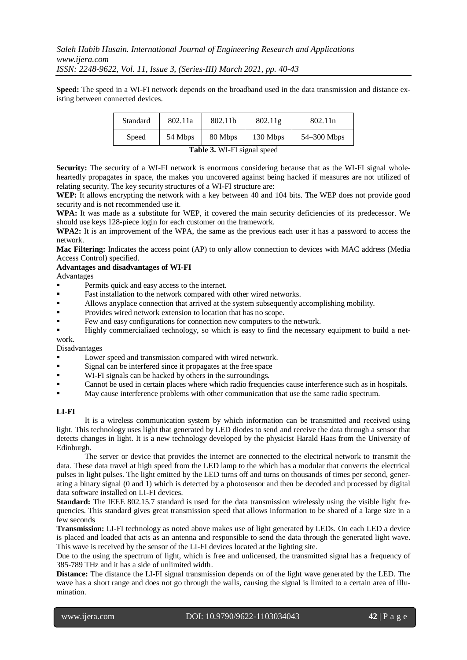**Speed:** The speed in a WI-FI network depends on the broadband used in the data transmission and distance existing between connected devices.

| Standard                    | 802.11a | 802.11b | 802.11g  | 802.11 <sub>n</sub> |  |  |
|-----------------------------|---------|---------|----------|---------------------|--|--|
| Speed                       | 54 Mbps | 80 Mbps | 130 Mbps | $54 - 300$ Mbps     |  |  |
| Table 3. WI-FI signal speed |         |         |          |                     |  |  |

**Security:** The security of a WI-FI network is enormous considering because that as the WI-FI signal wholeheartedly propagates in space, the makes you uncovered against being hacked if measures are not utilized of relating security. The key security structures of a WI-FI structure are:

WEP: It allows encrypting the network with a key between 40 and 104 bits. The WEP does not provide good security and is not recommended use it.

**WPA:** It was made as a substitute for WEP, it covered the main security deficiencies of its predecessor. We should use keys 128-piece login for each customer on the framework.

**WPA2:** It is an improvement of the WPA, the same as the previous each user it has a password to access the network.

**Mac Filtering:** Indicates the access point (AP) to only allow connection to devices with MAC address (Media Access Control) specified.

### **Advantages and disadvantages of WI-FI**

Advantages

- Permits quick and easy access to the internet.
- Fast installation to the network compared with other wired networks.
- Allows anyplace connection that arrived at the system subsequently accomplishing mobility.
- Provides wired network extension to location that has no scope.
- Few and easy configurations for connection new computers to the network.
- Highly commercialized technology, so which is easy to find the necessary equipment to build a network.

Disadvantages

- Lower speed and transmission compared with wired network.
- Signal can be interfered since it propagates at the free space
- WI-FI signals can be hacked by others in the surroundings.
- Cannot be used in certain places where which radio frequencies cause interference such as in hospitals.
- May cause interference problems with other communication that use the same radio spectrum.

#### **LI-FI**

It is a wireless communication system by which information can be transmitted and received using light. This technology uses light that generated by LED diodes to send and receive the data through a sensor that detects changes in light. It is a new technology developed by the physicist Harald Haas from the University of Edinburgh.

The server or device that provides the internet are connected to the electrical network to transmit the data. These data travel at high speed from the LED lamp to the which has a modular that converts the electrical pulses in light pulses. The light emitted by the LED turns off and turns on thousands of times per second, generating a binary signal (0 and 1) which is detected by a photosensor and then be decoded and processed by digital data software installed on LI-FI devices.

**Standard:** The IEEE 802.15.7 standard is used for the data transmission wirelessly using the visible light frequencies. This standard gives great transmission speed that allows information to be shared of a large size in a few seconds

**Transmission:** LI-FI technology as noted above makes use of light generated by LEDs. On each LED a device is placed and loaded that acts as an antenna and responsible to send the data through the generated light wave. This wave is received by the sensor of the LI-FI devices located at the lighting site.

Due to the using the spectrum of light, which is free and unlicensed, the transmitted signal has a frequency of 385-789 THz and it has a side of unlimited width.

**Distance:** The distance the LI-FI signal transmission depends on of the light wave generated by the LED. The wave has a short range and does not go through the walls, causing the signal is limited to a certain area of illumination.